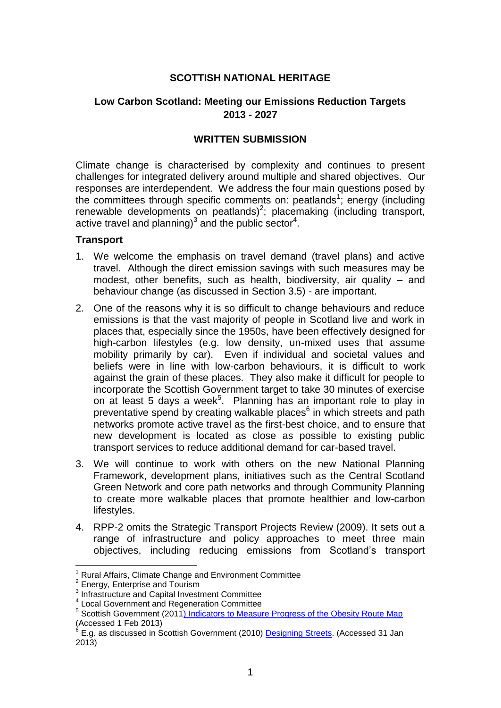## **SCOTTISH NATIONAL HERITAGE**

# **Low Carbon Scotland: Meeting our Emissions Reduction Targets 2013 - 2027**

### **WRITTEN SUBMISSION**

Climate change is characterised by complexity and continues to present challenges for integrated delivery around multiple and shared objectives. Our responses are interdependent. We address the four main questions posed by the committees through specific comments on: peatlands<sup>1</sup>; energy (including renewable developments on peatlands)<sup>2</sup>; placemaking (including transport, active travel and planning) $3$  and the public sector<sup>4</sup>.

#### **Transport**

- 1. We welcome the emphasis on travel demand (travel plans) and active travel. Although the direct emission savings with such measures may be modest, other benefits, such as health, biodiversity, air quality – and behaviour change (as discussed in Section 3.5) - are important.
- 2. One of the reasons why it is so difficult to change behaviours and reduce emissions is that the vast majority of people in Scotland live and work in places that, especially since the 1950s, have been effectively designed for high-carbon lifestyles (e.g. low density, un-mixed uses that assume mobility primarily by car). Even if individual and societal values and beliefs were in line with low-carbon behaviours, it is difficult to work against the grain of these places. They also make it difficult for people to incorporate the Scottish Government target to take 30 minutes of exercise on at least 5 days a week<sup>5</sup>. Planning has an important role to play in preventative spend by creating walkable places<sup>6</sup> in which streets and path networks promote active travel as the first-best choice, and to ensure that new development is located as close as possible to existing public transport services to reduce additional demand for car-based travel.
- 3. We will continue to work with others on the new National Planning Framework, development plans, initiatives such as the Central Scotland Green Network and core path networks and through Community Planning to create more walkable places that promote healthier and low-carbon lifestyles.
- 4. RPP-2 omits the Strategic Transport Projects Review (2009). It sets out a range of infrastructure and policy approaches to meet three main objectives, including reducing emissions from Scotland's transport

1

<sup>1</sup> Rural Affairs, Climate Change and Environment Committee

 $2$  Energy, Enterprise and Tourism

<sup>&</sup>lt;sup>3</sup> Infrastructure and Capital Investment Committee

<sup>4</sup> Local Government and Regeneration Committee

<sup>&</sup>lt;sup>5</sup> Scottish Government (201[1\) Indicators to Measure Progress of the Obesity Route Map](http://www.scotland.gov.uk/Resource/Doc/346011/0115167.pdf) Accessed 1 Feb 2013)<br><sup>6</sup> F a se discussed in S

E.g. as discussed in Scottish Government (2010) [Designing Streets.](http://www.scotland.gov.uk/Publications/2010/03/22120652/0) (Accessed 31 Jan 2013)